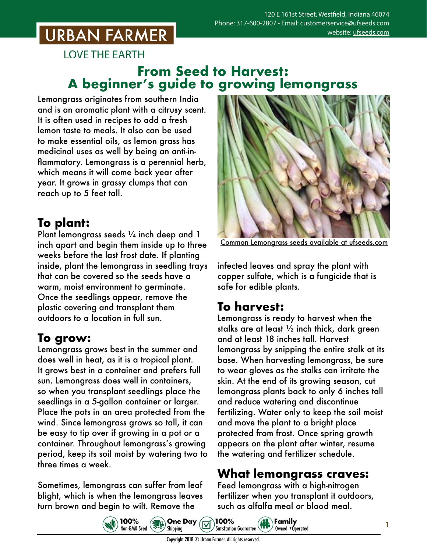# **URBAN FARMER**

**LOVE THE EARTH** 

### **From Seed to Harvest: A beginner's guide to growing lemongrass**

Lemongrass originates from southern India and is an aromatic plant with a citrusy scent. It is often used in recipes to add a fresh lemon taste to meals. It also can be used to make essential oils, as lemon grass has medicinal uses as well by being an anti-inflammatory. Lemongrass is a perennial herb, which means it will come back year after year. It grows in grassy clumps that can reach up to 5 feet tall.

# **To plant:**

Plant lemongrass seeds 1/4 inch deep and 1 inch apart and begin them inside up to three weeks before the last frost date. If planting inside, plant the lemongrass in seedling trays that can be covered so the seeds have a warm, moist environment to germinate. Once the seedlings appear, remove the plastic covering and transplant them outdoors to a location in full sun.

### **To grow:**

Lemongrass grows best in the summer and does well in heat, as it is a tropical plant. It grows best in a container and prefers full sun. Lemongrass does well in containers, so when you transplant seedlings place the seedlings in a 5-gallon container or larger. Place the pots in an area protected from the wind. Since lemongrass grows so tall, it can be easy to tip over if growing in a pot or a container. Throughout lemongrass's growing period, keep its soil moist by watering two to three times a week.

Sometimes, lemongrass can suffer from leaf blight, which is when the lemongrass leaves turn brown and begin to wilt. Remove the



Common Lemongrass seeds [available at ufseeds.com](https://www.ufseeds.com/product-category/herbs/lemon-grass/)

infected leaves and spray the plant with copper sulfate, which is a fungicide that is safe for edible plants.

## **To harvest:**

Lemongrass is ready to harvest when the stalks are at least ½ inch thick, dark green and at least 18 inches tall. Harvest lemongrass by snipping the entire stalk at its base. When harvesting lemongrass, be sure to wear gloves as the stalks can irritate the skin. At the end of its growing season, cut lemongrass plants back to only 6 inches tall and reduce watering and discontinue fertilizing. Water only to keep the soil moist and move the plant to a bright place protected from frost. Once spring growth appears on the plant after winter, resume the watering and fertilizer schedule.

### **What lemongrass craves:**

Feed lemongrass with a high-nitrogen fertilizer when you transplant it outdoors, such as alfalfa meal or blood meal.





Copyright 2018 © Urban Farmer. All rights reserved.

100%

**Sales One Day** 



Owned +Operated